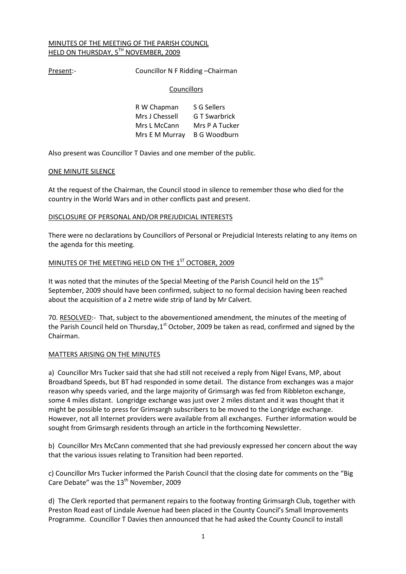# MINUTES OF THE MEETING OF THE PARISH COUNCIL HELD ON THURSDAY, 5TH NOVEMBER, 2009

Present:- Councillor N F Ridding - Chairman

## **Councillors**

| R W Chapman                 | S G Sellers    |
|-----------------------------|----------------|
| Mrs J Chessell              | G T Swarbrick  |
| Mrs L McCann                | Mrs P A Tucker |
| Mrs E M Murray B G Woodburn |                |

Also present was Councillor T Davies and one member of the public.

## ONE MINUTE SILENCE

At the request of the Chairman, the Council stood in silence to remember those who died for the country in the World Wars and in other conflicts past and present.

# DISCLOSURE OF PERSONAL AND/OR PREJUDICIAL INTERESTS

There were no declarations by Councillors of Personal or Prejudicial Interests relating to any items on the agenda for this meeting.

# MINUTES OF THE MEETING HELD ON THE 1<sup>ST</sup> OCTOBER, 2009

It was noted that the minutes of the Special Meeting of the Parish Council held on the 15<sup>th</sup> September, 2009 should have been confirmed, subject to no formal decision having been reached about the acquisition of a 2 metre wide strip of land by Mr Calvert.

70. RESOLVED:- That, subject to the abovementioned amendment, the minutes of the meeting of the Parish Council held on Thursday, 1<sup>st</sup> October, 2009 be taken as read, confirmed and signed by the Chairman.

## MATTERS ARISING ON THE MINUTES

a) Councillor Mrs Tucker said that she had still not received a reply from Nigel Evans, MP, about Broadband Speeds, but BT had responded in some detail. The distance from exchanges was a major reason why speeds varied, and the large majority of Grimsargh was fed from Ribbleton exchange, some 4 miles distant. Longridge exchange was just over 2 miles distant and it was thought that it might be possible to press for Grimsargh subscribers to be moved to the Longridge exchange. However, not all Internet providers were available from all exchanges. Further information would be sought from Grimsargh residents through an article in the forthcoming Newsletter.

b) Councillor Mrs McCann commented that she had previously expressed her concern about the way that the various issues relating to Transition had been reported.

c) Councillor Mrs Tucker informed the Parish Council that the closing date for comments on the "Big Care Debate" was the 13<sup>th</sup> November, 2009

d) The Clerk reported that permanent repairs to the footway fronting Grimsargh Club, together with Preston Road east of Lindale Avenue had been placed in the County Council's Small Improvements Programme. Councillor T Davies then announced that he had asked the County Council to install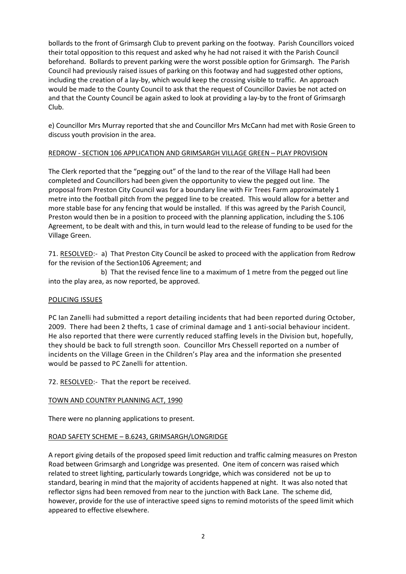bollards to the front of Grimsargh Club to prevent parking on the footway. Parish Councillors voiced their total opposition to this request and asked why he had not raised it with the Parish Council beforehand. Bollards to prevent parking were the worst possible option for Grimsargh. The Parish Council had previously raised issues of parking on this footway and had suggested other options, including the creation of a lay-by, which would keep the crossing visible to traffic. An approach would be made to the County Council to ask that the request of Councillor Davies be not acted on and that the County Council be again asked to look at providing a lay-by to the front of Grimsargh Club.

e) Councillor Mrs Murray reported that she and Councillor Mrs McCann had met with Rosie Green to discuss youth provision in the area.

# REDROW - SECTION 106 APPLICATION AND GRIMSARGH VILLAGE GREEN – PLAY PROVISION

The Clerk reported that the "pegging out" of the land to the rear of the Village Hall had been completed and Councillors had been given the opportunity to view the pegged out line. The proposal from Preston City Council was for a boundary line with Fir Trees Farm approximately 1 metre into the football pitch from the pegged line to be created. This would allow for a better and more stable base for any fencing that would be installed. If this was agreed by the Parish Council, Preston would then be in a position to proceed with the planning application, including the S.106 Agreement, to be dealt with and this, in turn would lead to the release of funding to be used for the Village Green.

71. RESOLVED:- a) That Preston City Council be asked to proceed with the application from Redrow for the revision of the Section106 Agreement; and

 b) That the revised fence line to a maximum of 1 metre from the pegged out line into the play area, as now reported, be approved.

## POLICING ISSUES

PC Ian Zanelli had submitted a report detailing incidents that had been reported during October, 2009. There had been 2 thefts, 1 case of criminal damage and 1 anti-social behaviour incident. He also reported that there were currently reduced staffing levels in the Division but, hopefully, they should be back to full strength soon. Councillor Mrs Chessell reported on a number of incidents on the Village Green in the Children's Play area and the information she presented would be passed to PC Zanelli for attention.

72. RESOLVED:- That the report be received.

## TOWN AND COUNTRY PLANNING ACT, 1990

There were no planning applications to present.

## ROAD SAFETY SCHEME – B.6243, GRIMSARGH/LONGRIDGE

A report giving details of the proposed speed limit reduction and traffic calming measures on Preston Road between Grimsargh and Longridge was presented. One item of concern was raised which related to street lighting, particularly towards Longridge, which was considered not be up to standard, bearing in mind that the majority of accidents happened at night. It was also noted that reflector signs had been removed from near to the junction with Back Lane. The scheme did, however, provide for the use of interactive speed signs to remind motorists of the speed limit which appeared to effective elsewhere.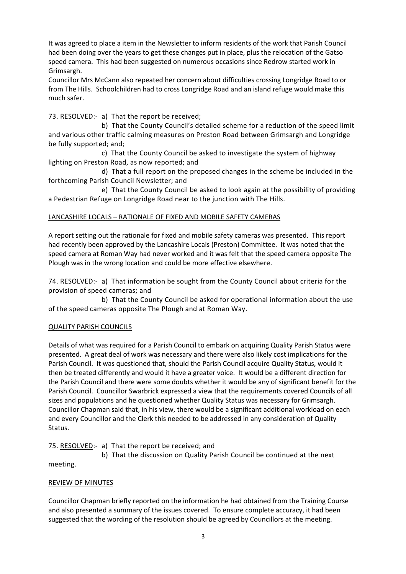It was agreed to place a item in the Newsletter to inform residents of the work that Parish Council had been doing over the years to get these changes put in place, plus the relocation of the Gatso speed camera. This had been suggested on numerous occasions since Redrow started work in Grimsargh.

Councillor Mrs McCann also repeated her concern about difficulties crossing Longridge Road to or from The Hills. Schoolchildren had to cross Longridge Road and an island refuge would make this much safer.

73. RESOLVED:- a) That the report be received;

 b) That the County Council's detailed scheme for a reduction of the speed limit and various other traffic calming measures on Preston Road between Grimsargh and Longridge be fully supported; and;

 c) That the County Council be asked to investigate the system of highway lighting on Preston Road, as now reported; and

 d) That a full report on the proposed changes in the scheme be included in the forthcoming Parish Council Newsletter; and

 e) That the County Council be asked to look again at the possibility of providing a Pedestrian Refuge on Longridge Road near to the junction with The Hills.

# LANCASHIRE LOCALS – RATIONALE OF FIXED AND MOBILE SAFETY CAMERAS

A report setting out the rationale for fixed and mobile safety cameras was presented. This report had recently been approved by the Lancashire Locals (Preston) Committee. It was noted that the speed camera at Roman Way had never worked and it was felt that the speed camera opposite The Plough was in the wrong location and could be more effective elsewhere.

74. RESOLVED:- a) That information be sought from the County Council about criteria for the provision of speed cameras; and

 b) That the County Council be asked for operational information about the use of the speed cameras opposite The Plough and at Roman Way.

# QUALITY PARISH COUNCILS

Details of what was required for a Parish Council to embark on acquiring Quality Parish Status were presented. A great deal of work was necessary and there were also likely cost implications for the Parish Council. It was questioned that, should the Parish Council acquire Quality Status, would it then be treated differently and would it have a greater voice. It would be a different direction for the Parish Council and there were some doubts whether it would be any of significant benefit for the Parish Council. Councillor Swarbrick expressed a view that the requirements covered Councils of all sizes and populations and he questioned whether Quality Status was necessary for Grimsargh. Councillor Chapman said that, in his view, there would be a significant additional workload on each and every Councillor and the Clerk this needed to be addressed in any consideration of Quality Status.

75. RESOLVED:- a) That the report be received; and

 b) That the discussion on Quality Parish Council be continued at the next meeting.

# REVIEW OF MINUTES

Councillor Chapman briefly reported on the information he had obtained from the Training Course and also presented a summary of the issues covered. To ensure complete accuracy, it had been suggested that the wording of the resolution should be agreed by Councillors at the meeting.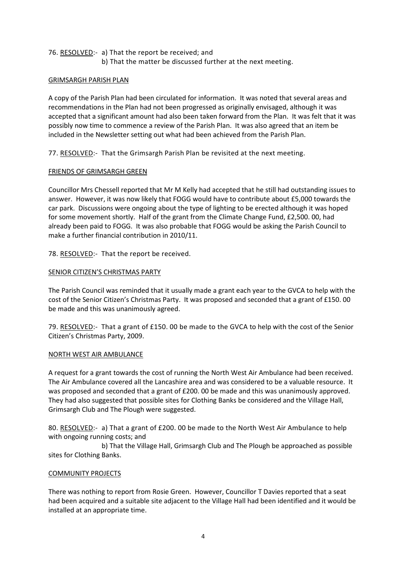76. RESOLVED:- a) That the report be received; and b) That the matter be discussed further at the next meeting.

# GRIMSARGH PARISH PLAN

A copy of the Parish Plan had been circulated for information. It was noted that several areas and recommendations in the Plan had not been progressed as originally envisaged, although it was accepted that a significant amount had also been taken forward from the Plan. It was felt that it was possibly now time to commence a review of the Parish Plan. It was also agreed that an item be included in the Newsletter setting out what had been achieved from the Parish Plan.

77. RESOLVED:- That the Grimsargh Parish Plan be revisited at the next meeting.

# FRIENDS OF GRIMSARGH GREEN

Councillor Mrs Chessell reported that Mr M Kelly had accepted that he still had outstanding issues to answer. However, it was now likely that FOGG would have to contribute about £5,000 towards the car park. Discussions were ongoing about the type of lighting to be erected although it was hoped for some movement shortly. Half of the grant from the Climate Change Fund, £2,500. 00, had already been paid to FOGG. It was also probable that FOGG would be asking the Parish Council to make a further financial contribution in 2010/11.

78. RESOLVED:- That the report be received.

# SENIOR CITIZEN'S CHRISTMAS PARTY

The Parish Council was reminded that it usually made a grant each year to the GVCA to help with the cost of the Senior Citizen's Christmas Party. It was proposed and seconded that a grant of £150. 00 be made and this was unanimously agreed.

79. RESOLVED:- That a grant of £150. 00 be made to the GVCA to help with the cost of the Senior Citizen's Christmas Party, 2009.

## NORTH WEST AIR AMBULANCE

A request for a grant towards the cost of running the North West Air Ambulance had been received. The Air Ambulance covered all the Lancashire area and was considered to be a valuable resource. It was proposed and seconded that a grant of £200. 00 be made and this was unanimously approved. They had also suggested that possible sites for Clothing Banks be considered and the Village Hall, Grimsargh Club and The Plough were suggested.

80. RESOLVED:- a) That a grant of £200. 00 be made to the North West Air Ambulance to help with ongoing running costs; and

 b) That the Village Hall, Grimsargh Club and The Plough be approached as possible sites for Clothing Banks.

# COMMUNITY PROJECTS

There was nothing to report from Rosie Green. However, Councillor T Davies reported that a seat had been acquired and a suitable site adjacent to the Village Hall had been identified and it would be installed at an appropriate time.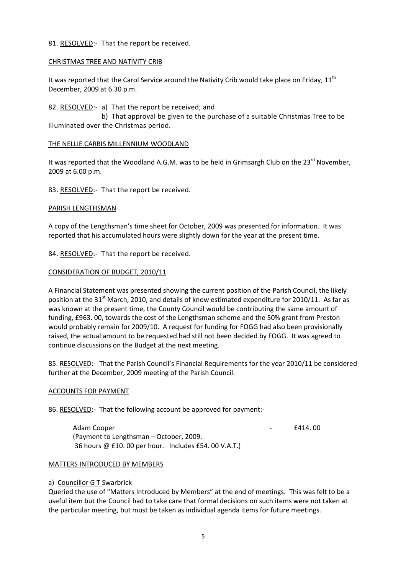## 81. RESOLVED:- That the report be received.

## CHRISTMAS TREE AND NATIVITY CRIB

It was reported that the Carol Service around the Nativity Crib would take place on Friday,  $11<sup>th</sup>$ December, 2009 at 6.30 p.m.

82. RESOLVED:- a) That the report be received; and b) That approval be given to the purchase of a suitable Christmas Tree to be illuminated over the Christmas period.

## THE NELLIE CARBIS MILLENNIUM WOODLAND

It was reported that the Woodland A.G.M. was to be held in Grimsargh Club on the 23<sup>rd</sup> November, 2009 at 6.00 p.m.

83. RESOLVED:- That the report be received.

# PARISH LENGTHSMAN

A copy of the Lengthsman's time sheet for October, 2009 was presented for information. It was reported that his accumulated hours were slightly down for the year at the present time.

84. RESOLVED:- That the report be received.

# CONSIDERATION OF BUDGET, 2010/11

A Financial Statement was presented showing the current position of the Parish Council, the likely position at the 31<sup>st</sup> March, 2010, and details of know estimated expenditure for 2010/11. As far as was known at the present time, the County Council would be contributing the same amount of funding, £963. 00, towards the cost of the Lengthsman scheme and the 50% grant from Preston would probably remain for 2009/10. A request for funding for FOGG had also been provisionally raised, the actual amount to be requested had still not been decided by FOGG. It was agreed to continue discussions on the Budget at the next meeting.

85. RESOLVED:- That the Parish Council's Financial Requirements for the year 2010/11 be considered further at the December, 2009 meeting of the Parish Council.

## ACCOUNTS FOR PAYMENT

86. RESOLVED:- That the following account be approved for payment:-

Adam Cooper **E414.** 00 (Payment to Lengthsman – October, 2009. 36 hours @ £10. 00 per hour. Includes £54. 00 V.A.T.)

## MATTERS INTRODUCED BY MEMBERS

## a) Councillor G T Swarbrick

Queried the use of "Matters Introduced by Members" at the end of meetings. This was felt to be a useful item but the Council had to take care that formal decisions on such items were not taken at the particular meeting, but must be taken as individual agenda items for future meetings.